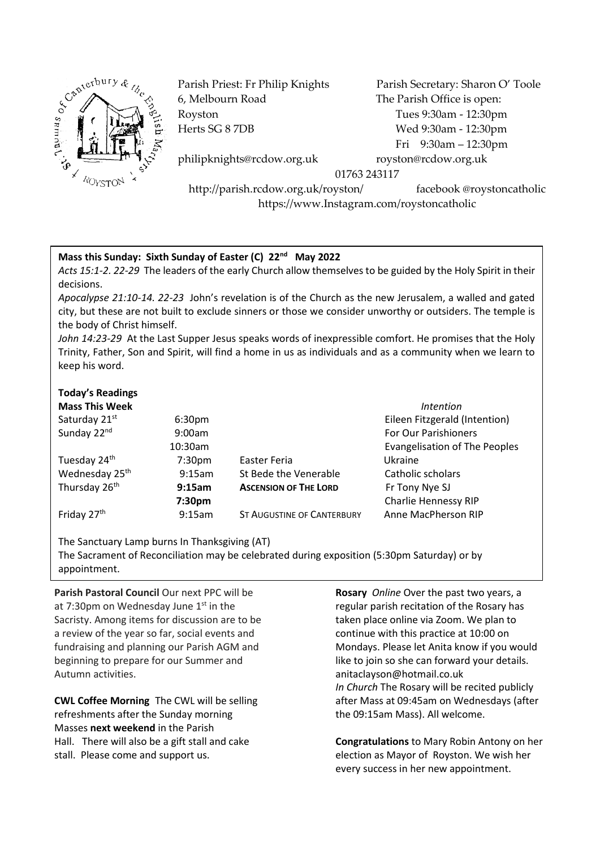

6, Melbourn Road The Parish Office is open: Royston Tues 9:30am - 12:30pm

Parish Priest: Fr Philip Knights Parish Secretary: Sharon O' Toole Herts SG 8 7DB Wed 9:30am - 12:30pm Fri 9:30am – 12:30pm

philipknights@rcdow.org.uk royston@rcdow.org.uk

01763 243117

http://parish.rcdow.org.uk/royston/ facebook @roystoncatholic https://www.Instagram.com/roystoncatholic

## **Mass this Sunday: Sixth Sunday of Easter (C) 22nd May 2022**

*Acts 15:1-2. 22-29* The leaders of the early Church allow themselves to be guided by the Holy Spirit in their decisions.

*Apocalypse 21:10-14. 22-23* John's revelation is of the Church as the new Jerusalem, a walled and gated city, but these are not built to exclude sinners or those we consider unworthy or outsiders. The temple is the body of Christ himself.

*John 14:23-29* At the Last Supper Jesus speaks words of inexpressible comfort. He promises that the Holy Trinity, Father, Son and Spirit, will find a home in us as individuals and as a community when we learn to keep his word.

## **Today's Readings**

| <b>Mass This Week</b>      |                    |                                   | <i>Intention</i>                     |
|----------------------------|--------------------|-----------------------------------|--------------------------------------|
| Saturday 21st              | 6:30 <sub>pm</sub> |                                   | Eileen Fitzgerald (Intention)        |
| Sunday 22nd                | 9:00am             |                                   | For Our Parishioners                 |
|                            | 10:30am            |                                   | <b>Evangelisation of The Peoples</b> |
| Tuesday 24th               | 7:30 <sub>pm</sub> | Easter Feria                      | Ukraine                              |
| Wednesday 25 <sup>th</sup> | 9:15am             | St Bede the Venerable             | Catholic scholars                    |
| Thursday 26 <sup>th</sup>  | 9:15am             | <b>ASCENSION OF THE LORD</b>      | Fr Tony Nye SJ                       |
|                            | 7:30 <sub>pm</sub> |                                   | Charlie Hennessy RIP                 |
| Friday 27 <sup>th</sup>    | 9:15am             | <b>ST AUGUSTINE OF CANTERBURY</b> | Anne MacPherson RIP                  |

The Sanctuary Lamp burns In Thanksgiving (AT) The Sacrament of Reconciliation may be celebrated during exposition (5:30pm Saturday) or by appointment.

**Parish Pastoral Council** Our next PPC will be at 7:30pm on Wednesday June 1<sup>st</sup> in the Sacristy. Among items for discussion are to be a review of the year so far, social events and fundraising and planning our Parish AGM and beginning to prepare for our Summer and Autumn activities.

**CWL Coffee Morning** The CWL will be selling refreshments after the Sunday morning Masses **next weekend** in the Parish Hall. There will also be a gift stall and cake stall. Please come and support us.

**Rosary** *Online* Over the past two years, a regular parish recitation of the Rosary has taken place online via Zoom. We plan to continue with this practice at 10:00 on Mondays. Please let Anita know if you would like to join so she can forward your details. anitaclayson@hotmail.co.uk *In Church* The Rosary will be recited publicly after Mass at 09:45am on Wednesdays (after the 09:15am Mass). All welcome.

**Congratulations** to Mary Robin Antony on her election as Mayor of Royston. We wish her every success in her new appointment.